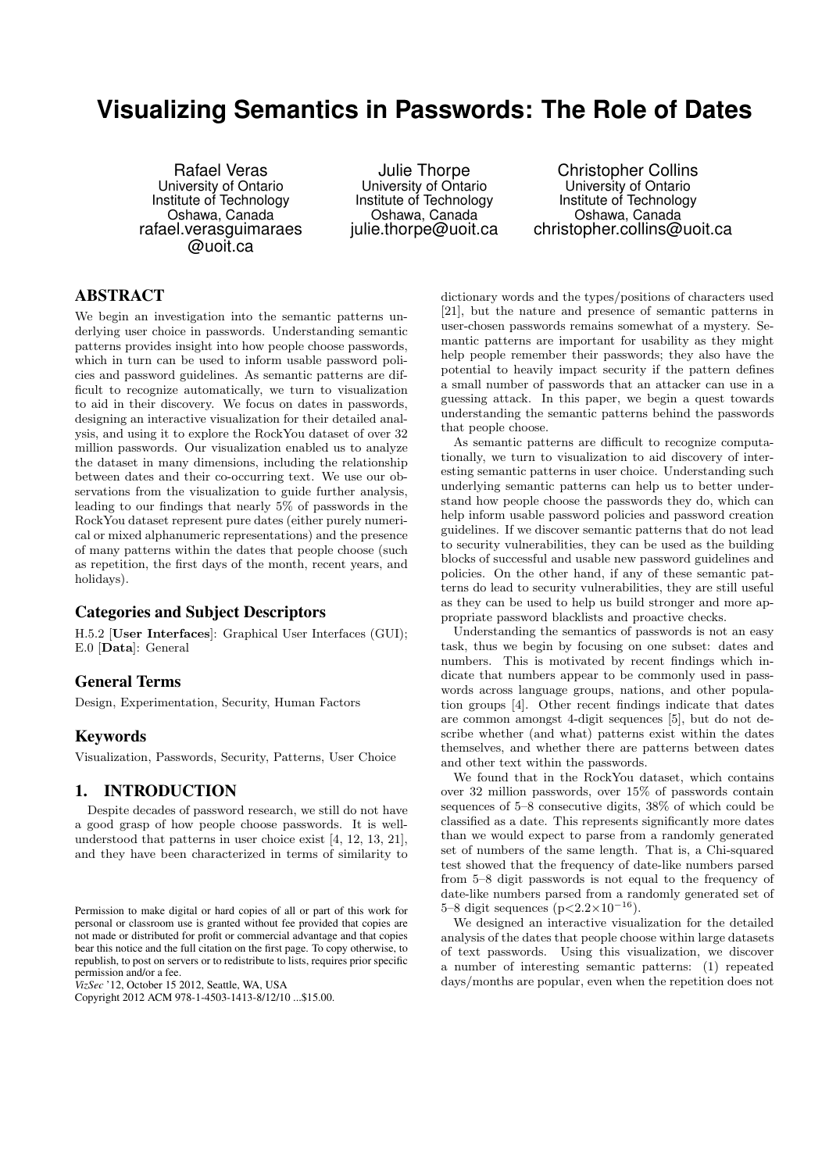# **Visualizing Semantics in Passwords: The Role of Dates**

Rafael Veras University of Ontario Institute of Technology Oshawa, Canada rafael.verasguimaraes @uoit.ca

Julie Thorpe University of Ontario Institute of Technology Oshawa, Canada julie.thorpe@uoit.ca

Christopher Collins University of Ontario Institute of Technology Oshawa, Canada christopher.collins@uoit.ca

## ABSTRACT

We begin an investigation into the semantic patterns underlying user choice in passwords. Understanding semantic patterns provides insight into how people choose passwords, which in turn can be used to inform usable password policies and password guidelines. As semantic patterns are difficult to recognize automatically, we turn to visualization to aid in their discovery. We focus on dates in passwords, designing an interactive visualization for their detailed analysis, and using it to explore the RockYou dataset of over 32 million passwords. Our visualization enabled us to analyze the dataset in many dimensions, including the relationship between dates and their co-occurring text. We use our observations from the visualization to guide further analysis, leading to our findings that nearly 5% of passwords in the RockYou dataset represent pure dates (either purely numerical or mixed alphanumeric representations) and the presence of many patterns within the dates that people choose (such as repetition, the first days of the month, recent years, and holidays).

## Categories and Subject Descriptors

H.5.2 [User Interfaces]: Graphical User Interfaces (GUI); E.0 [Data]: General

## General Terms

Design, Experimentation, Security, Human Factors

#### Keywords

Visualization, Passwords, Security, Patterns, User Choice

# 1. INTRODUCTION

Despite decades of password research, we still do not have a good grasp of how people choose passwords. It is wellunderstood that patterns in user choice exist [\[4,](#page-7-0) [12,](#page-7-1) [13,](#page-7-2) [21\]](#page-7-3), and they have been characterized in terms of similarity to

*VizSec* '12, October 15 2012, Seattle, WA, USA

Copyright 2012 ACM 978-1-4503-1413-8/12/10 ...\$15.00.

dictionary words and the types/positions of characters used [\[21\]](#page-7-3), but the nature and presence of semantic patterns in user-chosen passwords remains somewhat of a mystery. Semantic patterns are important for usability as they might help people remember their passwords; they also have the potential to heavily impact security if the pattern defines a small number of passwords that an attacker can use in a guessing attack. In this paper, we begin a quest towards understanding the semantic patterns behind the passwords that people choose.

As semantic patterns are difficult to recognize computationally, we turn to visualization to aid discovery of interesting semantic patterns in user choice. Understanding such underlying semantic patterns can help us to better understand how people choose the passwords they do, which can help inform usable password policies and password creation guidelines. If we discover semantic patterns that do not lead to security vulnerabilities, they can be used as the building blocks of successful and usable new password guidelines and policies. On the other hand, if any of these semantic patterns do lead to security vulnerabilities, they are still useful as they can be used to help us build stronger and more appropriate password blacklists and proactive checks.

Understanding the semantics of passwords is not an easy task, thus we begin by focusing on one subset: dates and numbers. This is motivated by recent findings which indicate that numbers appear to be commonly used in passwords across language groups, nations, and other population groups [\[4\]](#page-7-0). Other recent findings indicate that dates are common amongst 4-digit sequences [\[5\]](#page-7-4), but do not describe whether (and what) patterns exist within the dates themselves, and whether there are patterns between dates and other text within the passwords.

We found that in the RockYou dataset, which contains over 32 million passwords, over 15% of passwords contain sequences of 5–8 consecutive digits, 38% of which could be classified as a date. This represents significantly more dates than we would expect to parse from a randomly generated set of numbers of the same length. That is, a Chi-squared test showed that the frequency of date-like numbers parsed from 5–8 digit passwords is not equal to the frequency of date-like numbers parsed from a randomly generated set of 5–8 digit sequences (p<2.2×10<sup>-16</sup>).

We designed an interactive visualization for the detailed analysis of the dates that people choose within large datasets of text passwords. Using this visualization, we discover a number of interesting semantic patterns: (1) repeated days/months are popular, even when the repetition does not

Permission to make digital or hard copies of all or part of this work for personal or classroom use is granted without fee provided that copies are not made or distributed for profit or commercial advantage and that copies bear this notice and the full citation on the first page. To copy otherwise, to republish, to post on servers or to redistribute to lists, requires prior specific permission and/or a fee.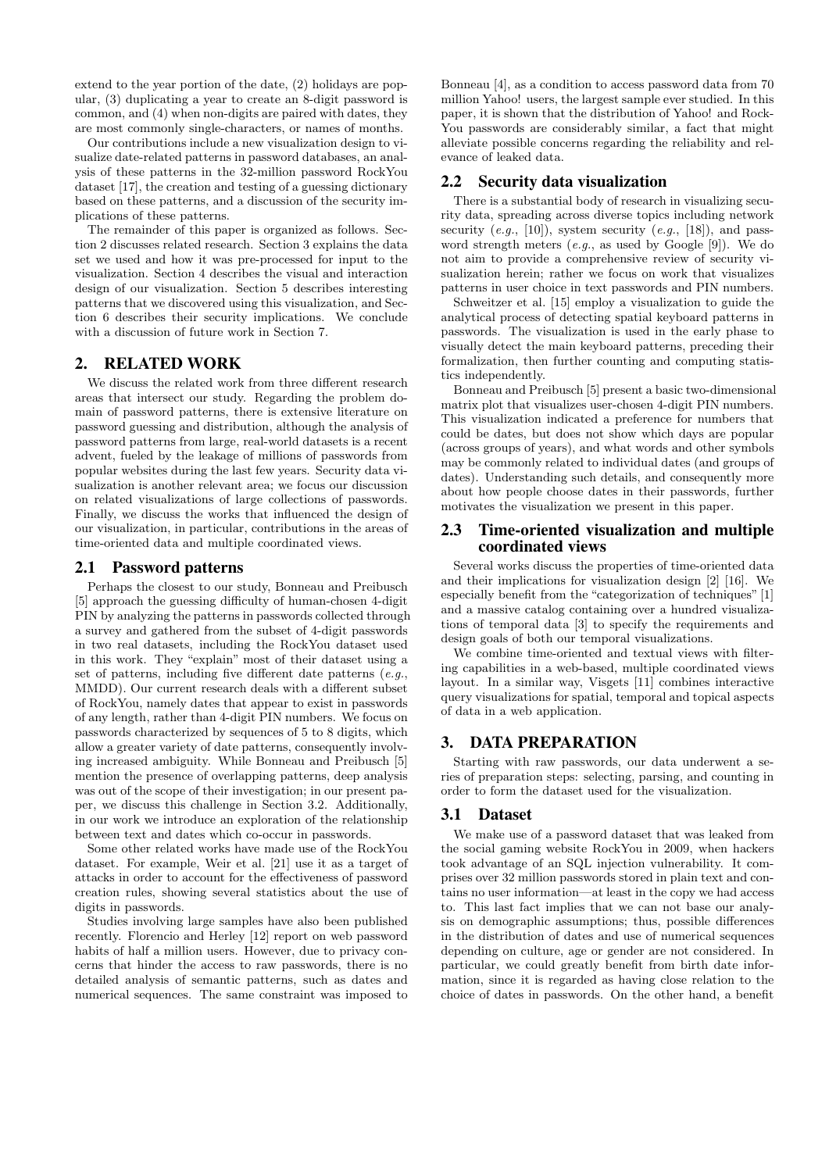extend to the year portion of the date, (2) holidays are popular, (3) duplicating a year to create an 8-digit password is common, and (4) when non-digits are paired with dates, they are most commonly single-characters, or names of months.

Our contributions include a new visualization design to visualize date-related patterns in password databases, an analysis of these patterns in the 32-million password RockYou dataset [\[17\]](#page-7-5), the creation and testing of a guessing dictionary based on these patterns, and a discussion of the security implications of these patterns.

The remainder of this paper is organized as follows. Section [2](#page-1-0) discusses related research. Section [3](#page-1-1) explains the data set we used and how it was pre-processed for input to the visualization. Section [4](#page-3-0) describes the visual and interaction design of our visualization. Section [5](#page-4-0) describes interesting patterns that we discovered using this visualization, and Section [6](#page-5-0) describes their security implications. We conclude with a discussion of future work in Section [7.](#page-6-0)

# <span id="page-1-0"></span>2. RELATED WORK

We discuss the related work from three different research areas that intersect our study. Regarding the problem domain of password patterns, there is extensive literature on password guessing and distribution, although the analysis of password patterns from large, real-world datasets is a recent advent, fueled by the leakage of millions of passwords from popular websites during the last few years. Security data visualization is another relevant area; we focus our discussion on related visualizations of large collections of passwords. Finally, we discuss the works that influenced the design of our visualization, in particular, contributions in the areas of time-oriented data and multiple coordinated views.

#### 2.1 Password patterns

Perhaps the closest to our study, Bonneau and Preibusch [\[5\]](#page-7-4) approach the guessing difficulty of human-chosen 4-digit PIN by analyzing the patterns in passwords collected through a survey and gathered from the subset of 4-digit passwords in two real datasets, including the RockYou dataset used in this work. They "explain" most of their dataset using a set of patterns, including five different date patterns  $(e.g.,$ MMDD). Our current research deals with a different subset of RockYou, namely dates that appear to exist in passwords of any length, rather than 4-digit PIN numbers. We focus on passwords characterized by sequences of 5 to 8 digits, which allow a greater variety of date patterns, consequently involving increased ambiguity. While Bonneau and Preibusch [\[5\]](#page-7-4) mention the presence of overlapping patterns, deep analysis was out of the scope of their investigation; in our present paper, we discuss this challenge in Section [3.2.](#page-2-0) Additionally, in our work we introduce an exploration of the relationship between text and dates which co-occur in passwords.

Some other related works have made use of the RockYou dataset. For example, Weir et al. [\[21\]](#page-7-3) use it as a target of attacks in order to account for the effectiveness of password creation rules, showing several statistics about the use of digits in passwords.

Studies involving large samples have also been published recently. Florencio and Herley [\[12\]](#page-7-1) report on web password habits of half a million users. However, due to privacy concerns that hinder the access to raw passwords, there is no detailed analysis of semantic patterns, such as dates and numerical sequences. The same constraint was imposed to

Bonneau [\[4\]](#page-7-0), as a condition to access password data from 70 million Yahoo! users, the largest sample ever studied. In this paper, it is shown that the distribution of Yahoo! and Rock-You passwords are considerably similar, a fact that might alleviate possible concerns regarding the reliability and relevance of leaked data.

## 2.2 Security data visualization

There is a substantial body of research in visualizing security data, spreading across diverse topics including network security  $(e.g., [10])$  $(e.g., [10])$  $(e.g., [10])$ , system security  $(e.g., [18])$  $(e.g., [18])$  $(e.g., [18])$ , and password strength meters  $(e.g.,$  as used by Google [\[9\]](#page-7-8)). We do not aim to provide a comprehensive review of security visualization herein; rather we focus on work that visualizes patterns in user choice in text passwords and PIN numbers.

Schweitzer et al. [\[15\]](#page-7-9) employ a visualization to guide the analytical process of detecting spatial keyboard patterns in passwords. The visualization is used in the early phase to visually detect the main keyboard patterns, preceding their formalization, then further counting and computing statistics independently.

Bonneau and Preibusch [\[5\]](#page-7-4) present a basic two-dimensional matrix plot that visualizes user-chosen 4-digit PIN numbers. This visualization indicated a preference for numbers that could be dates, but does not show which days are popular (across groups of years), and what words and other symbols may be commonly related to individual dates (and groups of dates). Understanding such details, and consequently more about how people choose dates in their passwords, further motivates the visualization we present in this paper.

## 2.3 Time-oriented visualization and multiple coordinated views

Several works discuss the properties of time-oriented data and their implications for visualization design [\[2\]](#page-6-1) [\[16\]](#page-7-10). We especially benefit from the "categorization of techniques" [\[1\]](#page-6-2) and a massive catalog containing over a hundred visualizations of temporal data [\[3\]](#page-6-3) to specify the requirements and design goals of both our temporal visualizations.

We combine time-oriented and textual views with filtering capabilities in a web-based, multiple coordinated views layout. In a similar way, Visgets [\[11\]](#page-7-11) combines interactive query visualizations for spatial, temporal and topical aspects of data in a web application.

## <span id="page-1-1"></span>3. DATA PREPARATION

Starting with raw passwords, our data underwent a series of preparation steps: selecting, parsing, and counting in order to form the dataset used for the visualization.

## 3.1 Dataset

We make use of a password dataset that was leaked from the social gaming website RockYou in 2009, when hackers took advantage of an SQL injection vulnerability. It comprises over 32 million passwords stored in plain text and contains no user information—at least in the copy we had access to. This last fact implies that we can not base our analysis on demographic assumptions; thus, possible differences in the distribution of dates and use of numerical sequences depending on culture, age or gender are not considered. In particular, we could greatly benefit from birth date information, since it is regarded as having close relation to the choice of dates in passwords. On the other hand, a benefit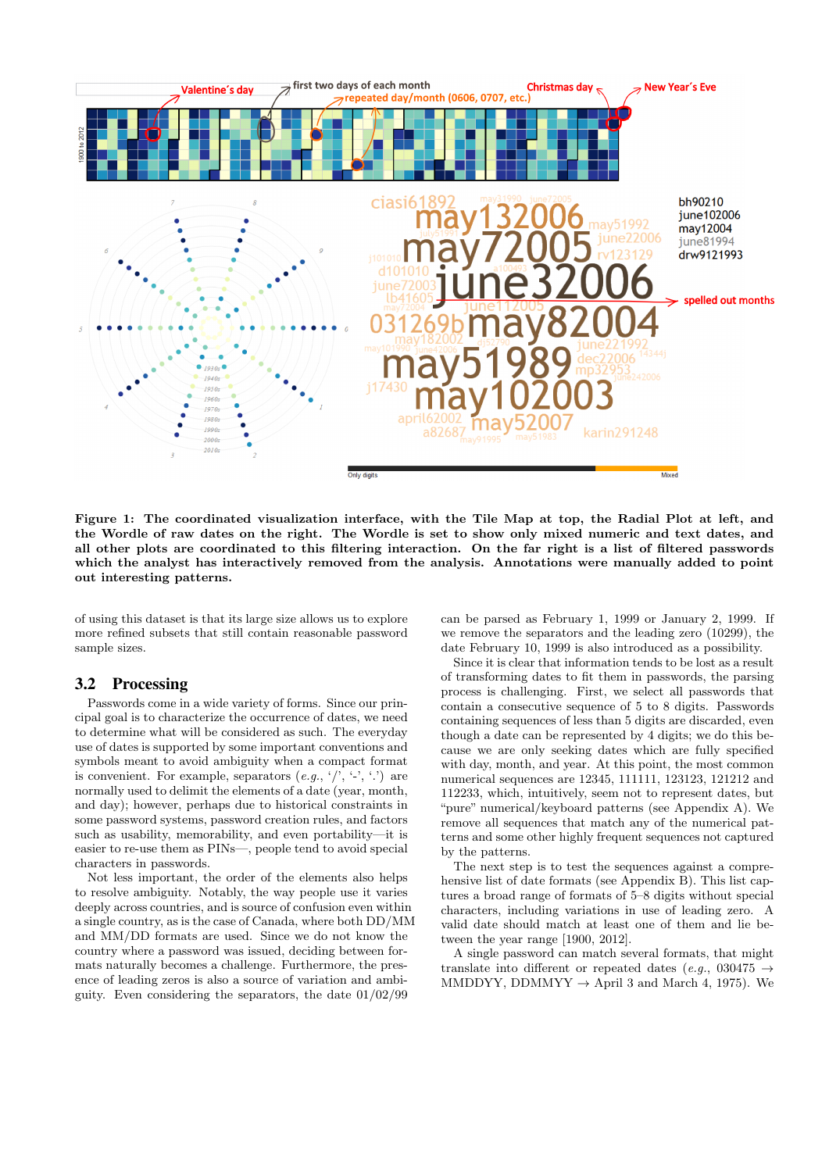

<span id="page-2-1"></span>Figure 1: The coordinated visualization interface, with the Tile Map at top, the Radial Plot at left, and the Wordle of raw dates on the right. The Wordle is set to show only mixed numeric and text dates, and all other plots are coordinated to this filtering interaction. On the far right is a list of filtered passwords which the analyst has interactively removed from the analysis. Annotations were manually added to point out interesting patterns.

of using this dataset is that its large size allows us to explore more refined subsets that still contain reasonable password sample sizes.

#### <span id="page-2-0"></span>3.2 Processing

Passwords come in a wide variety of forms. Since our principal goal is to characterize the occurrence of dates, we need to determine what will be considered as such. The everyday use of dates is supported by some important conventions and symbols meant to avoid ambiguity when a compact format is convenient. For example, separators  $(e.g., ' \rangle', '-'', '')$  are normally used to delimit the elements of a date (year, month, and day); however, perhaps due to historical constraints in some password systems, password creation rules, and factors such as usability, memorability, and even portability—it is easier to re-use them as PINs—, people tend to avoid special characters in passwords.

Not less important, the order of the elements also helps to resolve ambiguity. Notably, the way people use it varies deeply across countries, and is source of confusion even within a single country, as is the case of Canada, where both DD/MM and MM/DD formats are used. Since we do not know the country where a password was issued, deciding between formats naturally becomes a challenge. Furthermore, the presence of leading zeros is also a source of variation and ambiguity. Even considering the separators, the date 01/02/99

can be parsed as February 1, 1999 or January 2, 1999. If we remove the separators and the leading zero (10299), the date February 10, 1999 is also introduced as a possibility.

Since it is clear that information tends to be lost as a result of transforming dates to fit them in passwords, the parsing process is challenging. First, we select all passwords that contain a consecutive sequence of 5 to 8 digits. Passwords containing sequences of less than 5 digits are discarded, even though a date can be represented by 4 digits; we do this because we are only seeking dates which are fully specified with day, month, and year. At this point, the most common numerical sequences are 12345, 111111, 123123, 121212 and 112233, which, intuitively, seem not to represent dates, but "pure" numerical/keyboard patterns (see Appendix [A\)](#page-7-12). We remove all sequences that match any of the numerical patterns and some other highly frequent sequences not captured by the patterns.

The next step is to test the sequences against a comprehensive list of date formats (see Appendix [B\)](#page-7-13). This list captures a broad range of formats of 5–8 digits without special characters, including variations in use of leading zero. A valid date should match at least one of them and lie between the year range [1900, 2012].

A single password can match several formats, that might translate into different or repeated dates (e.g., 030475  $\rightarrow$ MMDDYY, DDMMYY  $\rightarrow$  April 3 and March 4, 1975). We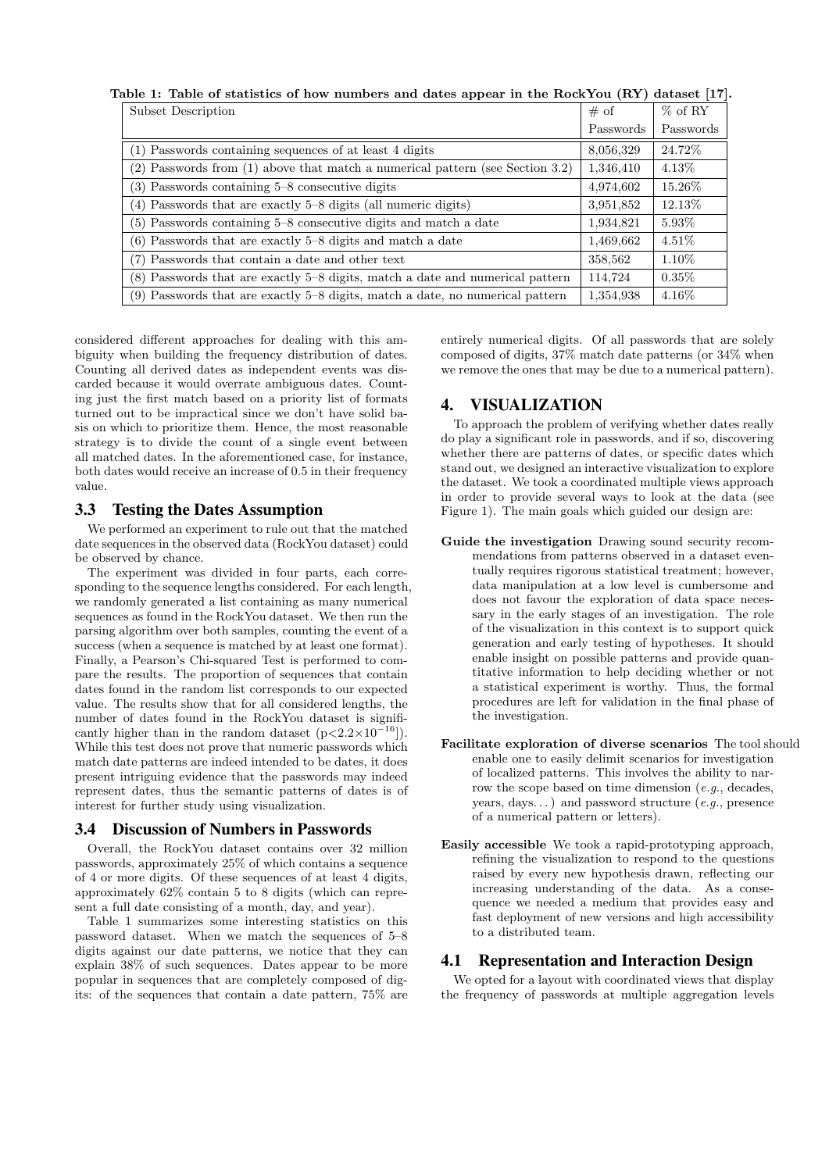| Table 1: Table of statistics of how numbers and dates appear in the RockYou (RY) dataset [17]. |  |  |  |  |  |
|------------------------------------------------------------------------------------------------|--|--|--|--|--|
|------------------------------------------------------------------------------------------------|--|--|--|--|--|

<span id="page-3-1"></span>

| Subset Description                                                                | # of      | $%$ of RY |
|-----------------------------------------------------------------------------------|-----------|-----------|
|                                                                                   | Passwords | Passwords |
| (1) Passwords containing sequences of at least 4 digits                           | 8,056,329 | 24.72\%   |
| $(2)$ Passwords from $(1)$ above that match a numerical pattern (see Section 3.2) | 1,346,410 | $4.13\%$  |
| $(3)$ Passwords containing 5–8 consecutive digits                                 | 4,974,602 | 15.26\%   |
| (4) Passwords that are exactly 5–8 digits (all numeric digits)                    | 3,951,852 | 12.13\%   |
| $(5)$ Passwords containing 5–8 consecutive digits and match a date                | 1,934,821 | 5.93%     |
| $(6)$ Passwords that are exactly 5–8 digits and match a date                      | 1,469,662 | $4.51\%$  |
| (7) Passwords that contain a date and other text                                  | 358,562   | 1.10\%    |
| (8) Passwords that are exactly 5–8 digits, match a date and numerical pattern     | 114.724   | $0.35\%$  |
| (9) Passwords that are exactly 5–8 digits, match a date, no numerical pattern     | 1,354,938 | 4.16\%    |

considered different approaches for dealing with this ambiguity when building the frequency distribution of dates. Counting all derived dates as independent events was discarded because it would overrate ambiguous dates. Counting just the first match based on a priority list of formats turned out to be impractical since we don't have solid basis on which to prioritize them. Hence, the most reasonable strategy is to divide the count of a single event between all matched dates. In the aforementioned case, for instance, both dates would receive an increase of 0.5 in their frequency value.

#### 3.3 Testing the Dates Assumption

We performed an experiment to rule out that the matched date sequences in the observed data (RockYou dataset) could be observed by chance.

The experiment was divided in four parts, each corresponding to the sequence lengths considered. For each length, we randomly generated a list containing as many numerical sequences as found in the RockYou dataset. We then run the parsing algorithm over both samples, counting the event of a success (when a sequence is matched by at least one format). Finally, a Pearson's Chi-squared Test is performed to compare the results. The proportion of sequences that contain dates found in the random list corresponds to our expected value. The results show that for all considered lengths, the number of dates found in the RockYou dataset is significantly higher than in the random dataset  $(p<2.2\times10^{-16})$ . While this test does not prove that numeric passwords which match date patterns are indeed intended to be dates, it does present intriguing evidence that the passwords may indeed represent dates, thus the semantic patterns of dates is of interest for further study using visualization.

#### 3.4 Discussion of Numbers in Passwords

Overall, the RockYou dataset contains over 32 million passwords, approximately 25% of which contains a sequence of 4 or more digits. Of these sequences of at least 4 digits, approximately 62% contain 5 to 8 digits (which can represent a full date consisting of a month, day, and year).

Table [1](#page-3-1) summarizes some interesting statistics on this password dataset. When we match the sequences of 5–8 digits against our date patterns, we notice that they can explain 38% of such sequences. Dates appear to be more popular in sequences that are completely composed of digits: of the sequences that contain a date pattern, 75% are

entirely numerical digits. Of all passwords that are solely composed of digits, 37% match date patterns (or 34% when we remove the ones that may be due to a numerical pattern).

## <span id="page-3-0"></span>4. VISUALIZATION

To approach the problem of verifying whether dates really do play a significant role in passwords, and if so, discovering whether there are patterns of dates, or specific dates which stand out, we designed an interactive visualization to explore the dataset. We took a coordinated multiple views approach in order to provide several ways to look at the data (see Figure [1\)](#page-2-1). The main goals which guided our design are:

- Guide the investigation Drawing sound security recommendations from patterns observed in a dataset eventually requires rigorous statistical treatment; however, data manipulation at a low level is cumbersome and does not favour the exploration of data space necessary in the early stages of an investigation. The role of the visualization in this context is to support quick generation and early testing of hypotheses. It should enable insight on possible patterns and provide quantitative information to help deciding whether or not a statistical experiment is worthy. Thus, the formal procedures are left for validation in the final phase of the investigation.
- Facilitate exploration of diverse scenarios The tool should enable one to easily delimit scenarios for investigation of localized patterns. This involves the ability to narrow the scope based on time dimension (e.g., decades, years, days...) and password structure  $(e.g.,)$  presence of a numerical pattern or letters).
- Easily accessible We took a rapid-prototyping approach, refining the visualization to respond to the questions raised by every new hypothesis drawn, reflecting our increasing understanding of the data. As a consequence we needed a medium that provides easy and fast deployment of new versions and high accessibility to a distributed team.

#### 4.1 Representation and Interaction Design

We opted for a layout with coordinated views that display the frequency of passwords at multiple aggregation levels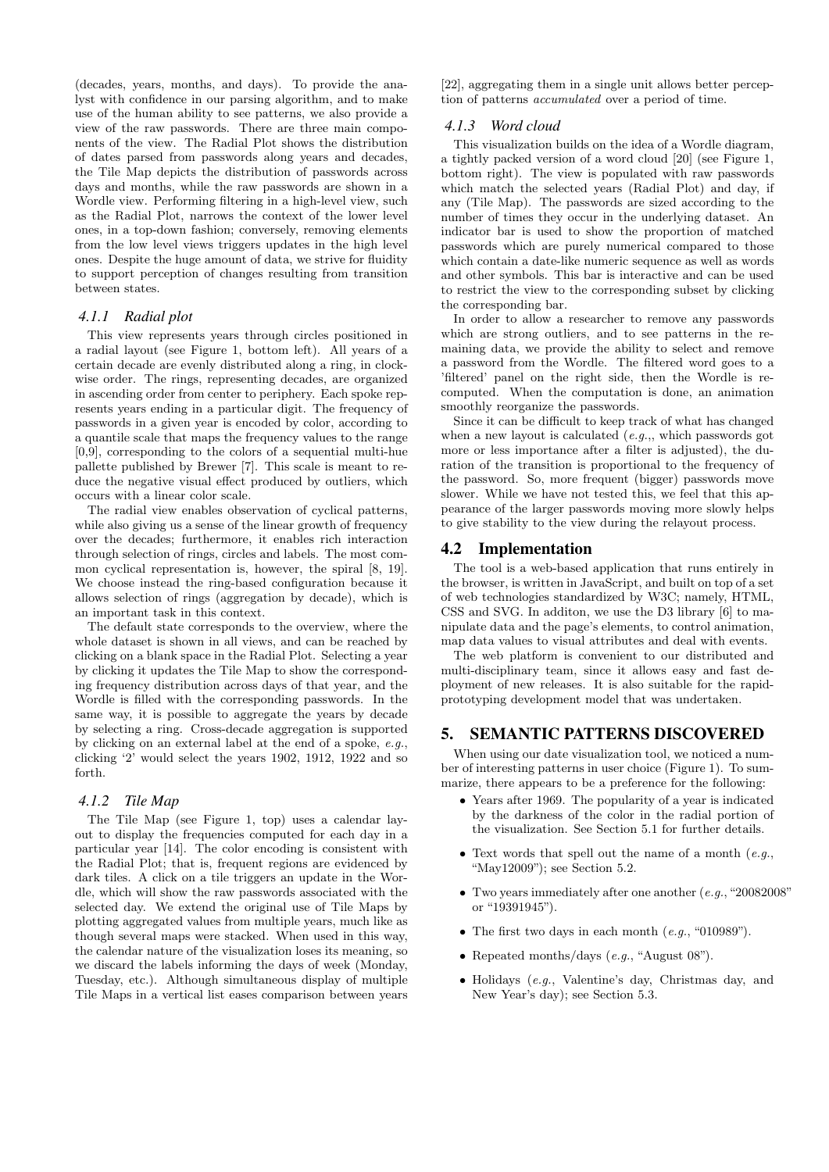(decades, years, months, and days). To provide the analyst with confidence in our parsing algorithm, and to make use of the human ability to see patterns, we also provide a view of the raw passwords. There are three main components of the view. The Radial Plot shows the distribution of dates parsed from passwords along years and decades, the Tile Map depicts the distribution of passwords across days and months, while the raw passwords are shown in a Wordle view. Performing filtering in a high-level view, such as the Radial Plot, narrows the context of the lower level ones, in a top-down fashion; conversely, removing elements from the low level views triggers updates in the high level ones. Despite the huge amount of data, we strive for fluidity to support perception of changes resulting from transition between states.

#### *4.1.1 Radial plot*

This view represents years through circles positioned in a radial layout (see Figure [1,](#page-2-1) bottom left). All years of a certain decade are evenly distributed along a ring, in clockwise order. The rings, representing decades, are organized in ascending order from center to periphery. Each spoke represents years ending in a particular digit. The frequency of passwords in a given year is encoded by color, according to a quantile scale that maps the frequency values to the range [0,9], corresponding to the colors of a sequential multi-hue pallette published by Brewer [\[7\]](#page-7-14). This scale is meant to reduce the negative visual effect produced by outliers, which occurs with a linear color scale.

The radial view enables observation of cyclical patterns, while also giving us a sense of the linear growth of frequency over the decades; furthermore, it enables rich interaction through selection of rings, circles and labels. The most common cyclical representation is, however, the spiral [\[8,](#page-7-15) [19\]](#page-7-16). We choose instead the ring-based configuration because it allows selection of rings (aggregation by decade), which is an important task in this context.

The default state corresponds to the overview, where the whole dataset is shown in all views, and can be reached by clicking on a blank space in the Radial Plot. Selecting a year by clicking it updates the Tile Map to show the corresponding frequency distribution across days of that year, and the Wordle is filled with the corresponding passwords. In the same way, it is possible to aggregate the years by decade by selecting a ring. Cross-decade aggregation is supported by clicking on an external label at the end of a spoke,  $e.g.,$ clicking '2' would select the years 1902, 1912, 1922 and so forth.

## *4.1.2 Tile Map*

The Tile Map (see Figure [1,](#page-2-1) top) uses a calendar layout to display the frequencies computed for each day in a particular year [\[14\]](#page-7-17). The color encoding is consistent with the Radial Plot; that is, frequent regions are evidenced by dark tiles. A click on a tile triggers an update in the Wordle, which will show the raw passwords associated with the selected day. We extend the original use of Tile Maps by plotting aggregated values from multiple years, much like as though several maps were stacked. When used in this way, the calendar nature of the visualization loses its meaning, so we discard the labels informing the days of week (Monday, Tuesday, etc.). Although simultaneous display of multiple Tile Maps in a vertical list eases comparison between years

[\[22\]](#page-7-18), aggregating them in a single unit allows better perception of patterns accumulated over a period of time.

#### *4.1.3 Word cloud*

This visualization builds on the idea of a Wordle diagram, a tightly packed version of a word cloud [\[20\]](#page-7-19) (see Figure [1,](#page-2-1) bottom right). The view is populated with raw passwords which match the selected years (Radial Plot) and day, if any (Tile Map). The passwords are sized according to the number of times they occur in the underlying dataset. An indicator bar is used to show the proportion of matched passwords which are purely numerical compared to those which contain a date-like numeric sequence as well as words and other symbols. This bar is interactive and can be used to restrict the view to the corresponding subset by clicking the corresponding bar.

In order to allow a researcher to remove any passwords which are strong outliers, and to see patterns in the remaining data, we provide the ability to select and remove a password from the Wordle. The filtered word goes to a 'filtered' panel on the right side, then the Wordle is recomputed. When the computation is done, an animation smoothly reorganize the passwords.

Since it can be difficult to keep track of what has changed when a new layout is calculated  $(e.q.,)$ , which passwords got more or less importance after a filter is adjusted), the duration of the transition is proportional to the frequency of the password. So, more frequent (bigger) passwords move slower. While we have not tested this, we feel that this appearance of the larger passwords moving more slowly helps to give stability to the view during the relayout process.

#### 4.2 Implementation

The tool is a web-based application that runs entirely in the browser, is written in JavaScript, and built on top of a set of web technologies standardized by W3C; namely, HTML, CSS and SVG. In additon, we use the D3 library [\[6\]](#page-7-20) to manipulate data and the page's elements, to control animation, map data values to visual attributes and deal with events.

The web platform is convenient to our distributed and multi-disciplinary team, since it allows easy and fast deployment of new releases. It is also suitable for the rapidprototyping development model that was undertaken.

## <span id="page-4-0"></span>5. SEMANTIC PATTERNS DISCOVERED

When using our date visualization tool, we noticed a number of interesting patterns in user choice (Figure [1\)](#page-2-1). To summarize, there appears to be a preference for the following:

- Years after 1969. The popularity of a year is indicated by the darkness of the color in the radial portion of the visualization. See Section [5.1](#page-5-1) for further details.
- Text words that spell out the name of a month  $(e.g.,$ "May12009"); see Section [5.2.](#page-5-2)
- Two years immediately after one another (e.g., "20082008" or "19391945").
- The first two days in each month  $(e.q., "010989").$
- Repeated months/days (e.g., "August 08").
- Holidays (e.g., Valentine's day, Christmas day, and New Year's day); see Section [5.3.](#page-5-3)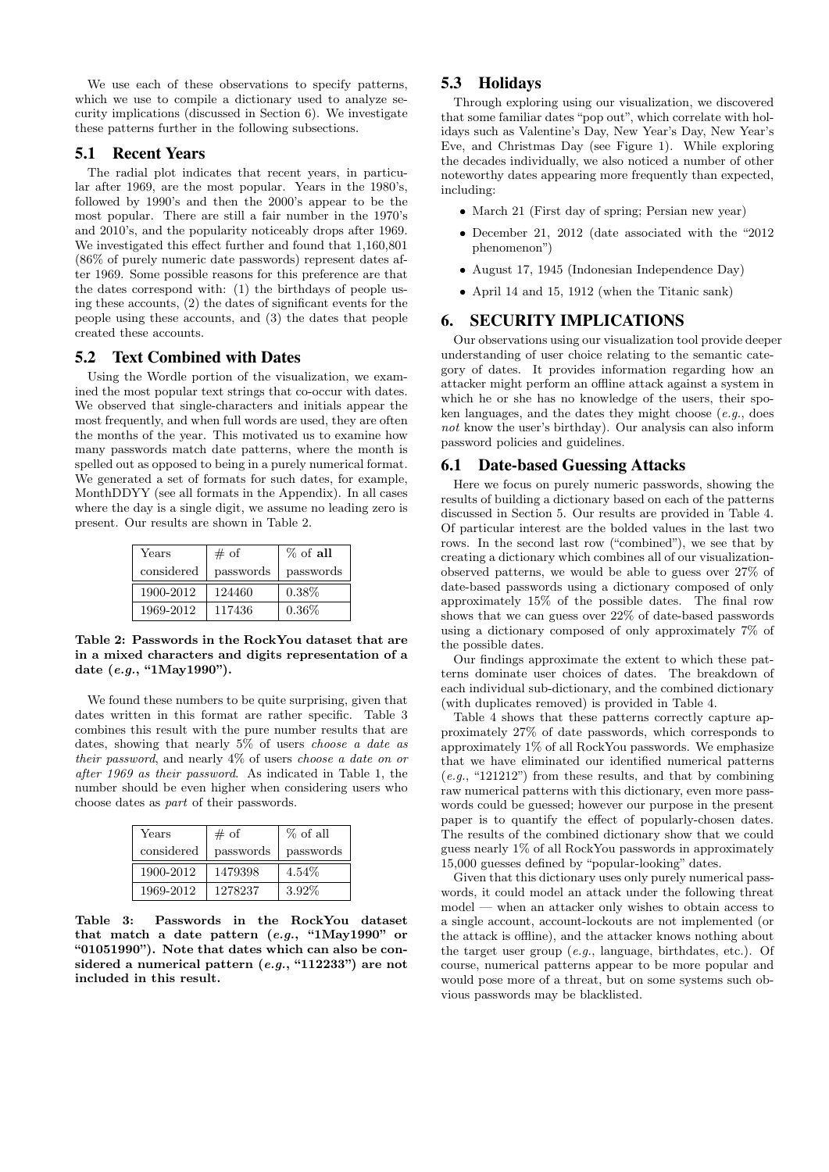We use each of these observations to specify patterns, which we use to compile a dictionary used to analyze security implications (discussed in Section [6\)](#page-5-0). We investigate these patterns further in the following subsections.

## <span id="page-5-1"></span>5.1 Recent Years

The radial plot indicates that recent years, in particular after 1969, are the most popular. Years in the 1980's, followed by 1990's and then the 2000's appear to be the most popular. There are still a fair number in the 1970's and 2010's, and the popularity noticeably drops after 1969. We investigated this effect further and found that 1,160,801 (86% of purely numeric date passwords) represent dates after 1969. Some possible reasons for this preference are that the dates correspond with: (1) the birthdays of people using these accounts, (2) the dates of significant events for the people using these accounts, and (3) the dates that people created these accounts.

## <span id="page-5-2"></span>5.2 Text Combined with Dates

Using the Wordle portion of the visualization, we examined the most popular text strings that co-occur with dates. We observed that single-characters and initials appear the most frequently, and when full words are used, they are often the months of the year. This motivated us to examine how many passwords match date patterns, where the month is spelled out as opposed to being in a purely numerical format. We generated a set of formats for such dates, for example, MonthDDYY (see all formats in the Appendix). In all cases where the day is a single digit, we assume no leading zero is present. Our results are shown in Table [2.](#page-5-4)

| Years      | # of      | $\%$ of all |
|------------|-----------|-------------|
| considered | passwords | passwords   |
| 1900-2012  | 124460    | $0.38\%$    |
| 1969-2012  | 117436    | $0.36\%$    |

<span id="page-5-4"></span>Table 2: Passwords in the RockYou dataset that are in a mixed characters and digits representation of a date (e.g., "1May1990").

We found these numbers to be quite surprising, given that dates written in this format are rather specific. Table [3](#page-5-5) combines this result with the pure number results that are dates, showing that nearly 5% of users choose a date as their password, and nearly 4% of users choose a date on or after 1969 as their password. As indicated in Table [1,](#page-3-1) the number should be even higher when considering users who choose dates as part of their passwords.

| Years      | # of      | % of all  |
|------------|-----------|-----------|
| considered | passwords | passwords |
| 1900-2012  | 1479398   | $4.54\%$  |
| 1969-2012  | 1278237   | $3.92\%$  |

<span id="page-5-5"></span>Table 3: Passwords in the RockYou dataset that match a date pattern (e.g., "1May1990" or "01051990"). Note that dates which can also be considered a numerical pattern  $(e.g., "112233")$  are not included in this result.

## <span id="page-5-3"></span>5.3 Holidays

Through exploring using our visualization, we discovered that some familiar dates "pop out", which correlate with holidays such as Valentine's Day, New Year's Day, New Year's Eve, and Christmas Day (see Figure [1\)](#page-2-1). While exploring the decades individually, we also noticed a number of other noteworthy dates appearing more frequently than expected, including:

- March 21 (First day of spring; Persian new year)
- December 21, 2012 (date associated with the "2012 phenomenon")
- August 17, 1945 (Indonesian Independence Day)
- April 14 and 15, 1912 (when the Titanic sank)

## <span id="page-5-0"></span>6. SECURITY IMPLICATIONS

Our observations using our visualization tool provide deeper understanding of user choice relating to the semantic category of dates. It provides information regarding how an attacker might perform an offline attack against a system in which he or she has no knowledge of the users, their spoken languages, and the dates they might choose  $(e.g.,\,$ not know the user's birthday). Our analysis can also inform password policies and guidelines.

## 6.1 Date-based Guessing Attacks

Here we focus on purely numeric passwords, showing the results of building a dictionary based on each of the patterns discussed in Section [5.](#page-4-0) Our results are provided in Table [4.](#page-6-4) Of particular interest are the bolded values in the last two rows. In the second last row ("combined"), we see that by creating a dictionary which combines all of our visualizationobserved patterns, we would be able to guess over 27% of date-based passwords using a dictionary composed of only approximately 15% of the possible dates. The final row shows that we can guess over 22% of date-based passwords using a dictionary composed of only approximately 7% of the possible dates.

Our findings approximate the extent to which these patterns dominate user choices of dates. The breakdown of each individual sub-dictionary, and the combined dictionary (with duplicates removed) is provided in Table [4.](#page-6-4)

Table [4](#page-6-4) shows that these patterns correctly capture approximately 27% of date passwords, which corresponds to approximately 1% of all RockYou passwords. We emphasize that we have eliminated our identified numerical patterns (e.g., "121212") from these results, and that by combining raw numerical patterns with this dictionary, even more passwords could be guessed; however our purpose in the present paper is to quantify the effect of popularly-chosen dates. The results of the combined dictionary show that we could guess nearly 1% of all RockYou passwords in approximately 15,000 guesses defined by "popular-looking" dates.

Given that this dictionary uses only purely numerical passwords, it could model an attack under the following threat model — when an attacker only wishes to obtain access to a single account, account-lockouts are not implemented (or the attack is offline), and the attacker knows nothing about the target user group (e.g., language, birthdates, etc.). Of course, numerical patterns appear to be more popular and would pose more of a threat, but on some systems such obvious passwords may be blacklisted.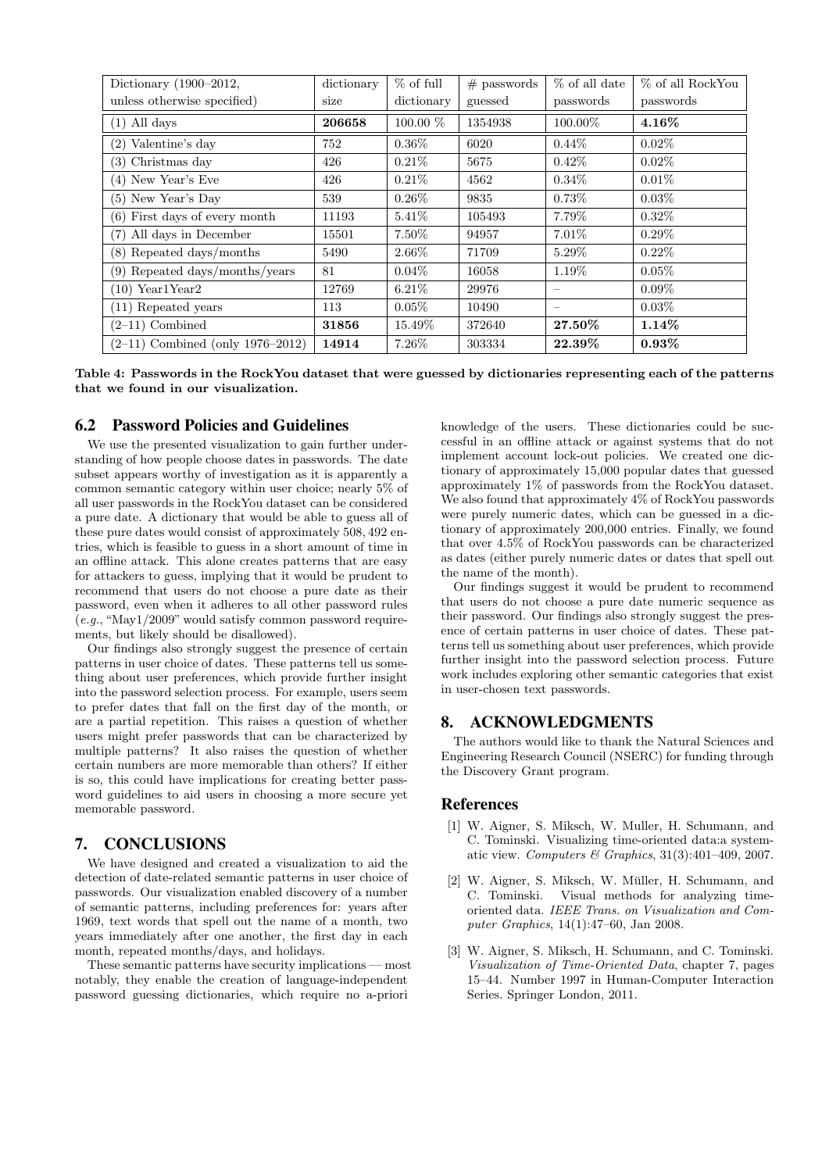| Dictionary $(1900-2012,$           | dictionary | $%$ of full | $#$ passwords | % of all date | % of all RockYou |
|------------------------------------|------------|-------------|---------------|---------------|------------------|
| unless otherwise specified)        | size       | dictionary  | guessed       | passwords     | passwords        |
| $(1)$ All days                     | 206658     | $100.00\%$  | 1354938       | $100.00\%$    | $4.16\%$         |
| (2) Valentine's day                | 752        | $0.36\%$    | 6020          | $0.44\%$      | $0.02\%$         |
| (3) Christmas day                  | 426        | $0.21\%$    | 5675          | $0.42\%$      | $0.02\%$         |
| (4) New Year's Eve                 | 426        | $0.21\%$    | 4562          | $0.34\%$      | $0.01\%$         |
| (5) New Year's Day                 | 539        | $0.26\%$    | 9835          | $0.73\%$      | $0.03\%$         |
| $(6)$ First days of every month    | 11193      | 5.41%       | 105493        | 7.79%         | $0.32\%$         |
| All days in December<br>(7)        | 15501      | 7.50%       | 94957         | 7.01%         | $0.29\%$         |
| (8) Repeated days/months           | 5490       | 2.66%       | 71709         | 5.29%         | 0.22%            |
| (9) Repeated days/months/years     | 81         | $0.04\%$    | 16058         | $1.19\%$      | 0.05%            |
| $(10)$ Year1Year2                  | 12769      | $6.21\%$    | 29976         |               | $0.09\%$         |
| (11) Repeated years                | 113        | $0.05\%$    | 10490         |               | $0.03\%$         |
| $(2-11)$ Combined                  | 31856      | 15.49%      | 372640        | $27.50\%$     | 1.14\%           |
| $(2-11)$ Combined (only 1976–2012) | 14914      | $7.26\%$    | 303334        | 22.39%        | $0.93\%$         |

<span id="page-6-4"></span>Table 4: Passwords in the RockYou dataset that were guessed by dictionaries representing each of the patterns that we found in our visualization.

#### 6.2 Password Policies and Guidelines

We use the presented visualization to gain further understanding of how people choose dates in passwords. The date subset appears worthy of investigation as it is apparently a common semantic category within user choice; nearly 5% of all user passwords in the RockYou dataset can be considered a pure date. A dictionary that would be able to guess all of these pure dates would consist of approximately 508, 492 entries, which is feasible to guess in a short amount of time in an offline attack. This alone creates patterns that are easy for attackers to guess, implying that it would be prudent to recommend that users do not choose a pure date as their password, even when it adheres to all other password rules  $(e.g., "May1/2009" would satisfy common password require$ ments, but likely should be disallowed).

Our findings also strongly suggest the presence of certain patterns in user choice of dates. These patterns tell us something about user preferences, which provide further insight into the password selection process. For example, users seem to prefer dates that fall on the first day of the month, or are a partial repetition. This raises a question of whether users might prefer passwords that can be characterized by multiple patterns? It also raises the question of whether certain numbers are more memorable than others? If either is so, this could have implications for creating better password guidelines to aid users in choosing a more secure yet memorable password.

# <span id="page-6-0"></span>7. CONCLUSIONS

We have designed and created a visualization to aid the detection of date-related semantic patterns in user choice of passwords. Our visualization enabled discovery of a number of semantic patterns, including preferences for: years after 1969, text words that spell out the name of a month, two years immediately after one another, the first day in each month, repeated months/days, and holidays.

These semantic patterns have security implications — most notably, they enable the creation of language-independent password guessing dictionaries, which require no a-priori

knowledge of the users. These dictionaries could be successful in an offline attack or against systems that do not implement account lock-out policies. We created one dictionary of approximately 15,000 popular dates that guessed approximately 1% of passwords from the RockYou dataset. We also found that approximately  $4\%$  of RockYou passwords were purely numeric dates, which can be guessed in a dictionary of approximately 200,000 entries. Finally, we found that over 4.5% of RockYou passwords can be characterized as dates (either purely numeric dates or dates that spell out the name of the month).

Our findings suggest it would be prudent to recommend that users do not choose a pure date numeric sequence as their password. Our findings also strongly suggest the presence of certain patterns in user choice of dates. These patterns tell us something about user preferences, which provide further insight into the password selection process. Future work includes exploring other semantic categories that exist in user-chosen text passwords.

## 8. ACKNOWLEDGMENTS

The authors would like to thank the Natural Sciences and Engineering Research Council (NSERC) for funding through the Discovery Grant program.

#### References

- <span id="page-6-2"></span>[1] W. Aigner, S. Miksch, W. Muller, H. Schumann, and C. Tominski. Visualizing time-oriented data:a systematic view. Computers & Graphics,  $31(3):401-409$ ,  $2007$ .
- <span id="page-6-1"></span>[2] W. Aigner, S. Miksch, W. Müller, H. Schumann, and C. Tominski. Visual methods for analyzing time-Visual methods for analyzing timeoriented data. IEEE Trans. on Visualization and Computer Graphics, 14(1):47–60, Jan 2008.
- <span id="page-6-3"></span>[3] W. Aigner, S. Miksch, H. Schumann, and C. Tominski. Visualization of Time-Oriented Data, chapter 7, pages 15–44. Number 1997 in Human-Computer Interaction Series. Springer London, 2011.